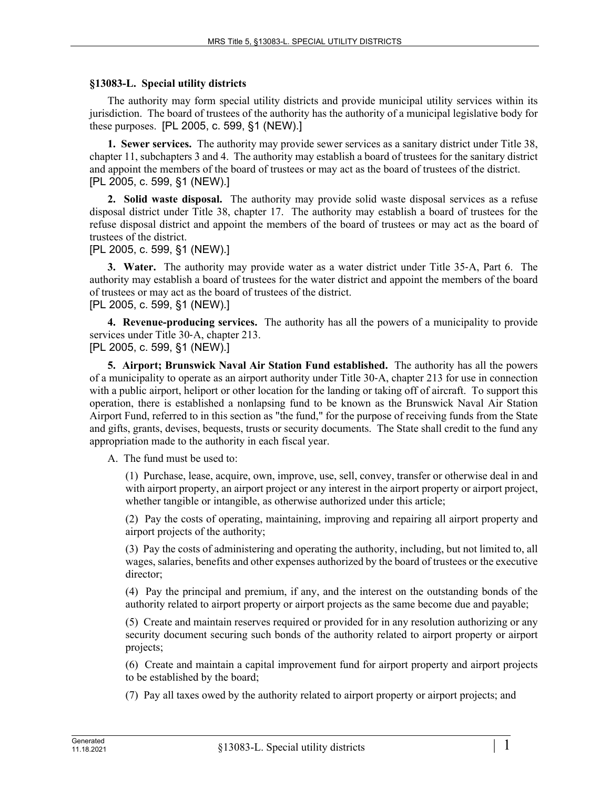## **§13083-L. Special utility districts**

The authority may form special utility districts and provide municipal utility services within its jurisdiction. The board of trustees of the authority has the authority of a municipal legislative body for these purposes. [PL 2005, c. 599, §1 (NEW).]

**1. Sewer services.** The authority may provide sewer services as a sanitary district under Title 38, chapter 11, subchapters 3 and 4. The authority may establish a board of trustees for the sanitary district and appoint the members of the board of trustees or may act as the board of trustees of the district. [PL 2005, c. 599, §1 (NEW).]

**2. Solid waste disposal.** The authority may provide solid waste disposal services as a refuse disposal district under Title 38, chapter 17. The authority may establish a board of trustees for the refuse disposal district and appoint the members of the board of trustees or may act as the board of trustees of the district.

[PL 2005, c. 599, §1 (NEW).]

**3. Water.** The authority may provide water as a water district under Title 35‑A, Part 6. The authority may establish a board of trustees for the water district and appoint the members of the board of trustees or may act as the board of trustees of the district. [PL 2005, c. 599, §1 (NEW).]

**4. Revenue-producing services.** The authority has all the powers of a municipality to provide services under Title 30‑A, chapter 213. [PL 2005, c. 599, §1 (NEW).]

**5. Airport; Brunswick Naval Air Station Fund established.** The authority has all the powers of a municipality to operate as an airport authority under Title 30‑A, chapter 213 for use in connection with a public airport, heliport or other location for the landing or taking off of aircraft. To support this operation, there is established a nonlapsing fund to be known as the Brunswick Naval Air Station Airport Fund, referred to in this section as "the fund," for the purpose of receiving funds from the State and gifts, grants, devises, bequests, trusts or security documents. The State shall credit to the fund any appropriation made to the authority in each fiscal year.

A. The fund must be used to:

(1) Purchase, lease, acquire, own, improve, use, sell, convey, transfer or otherwise deal in and with airport property, an airport project or any interest in the airport property or airport project, whether tangible or intangible, as otherwise authorized under this article;

(2) Pay the costs of operating, maintaining, improving and repairing all airport property and airport projects of the authority;

(3) Pay the costs of administering and operating the authority, including, but not limited to, all wages, salaries, benefits and other expenses authorized by the board of trustees or the executive director;

(4) Pay the principal and premium, if any, and the interest on the outstanding bonds of the authority related to airport property or airport projects as the same become due and payable;

(5) Create and maintain reserves required or provided for in any resolution authorizing or any security document securing such bonds of the authority related to airport property or airport projects;

(6) Create and maintain a capital improvement fund for airport property and airport projects to be established by the board;

(7) Pay all taxes owed by the authority related to airport property or airport projects; and